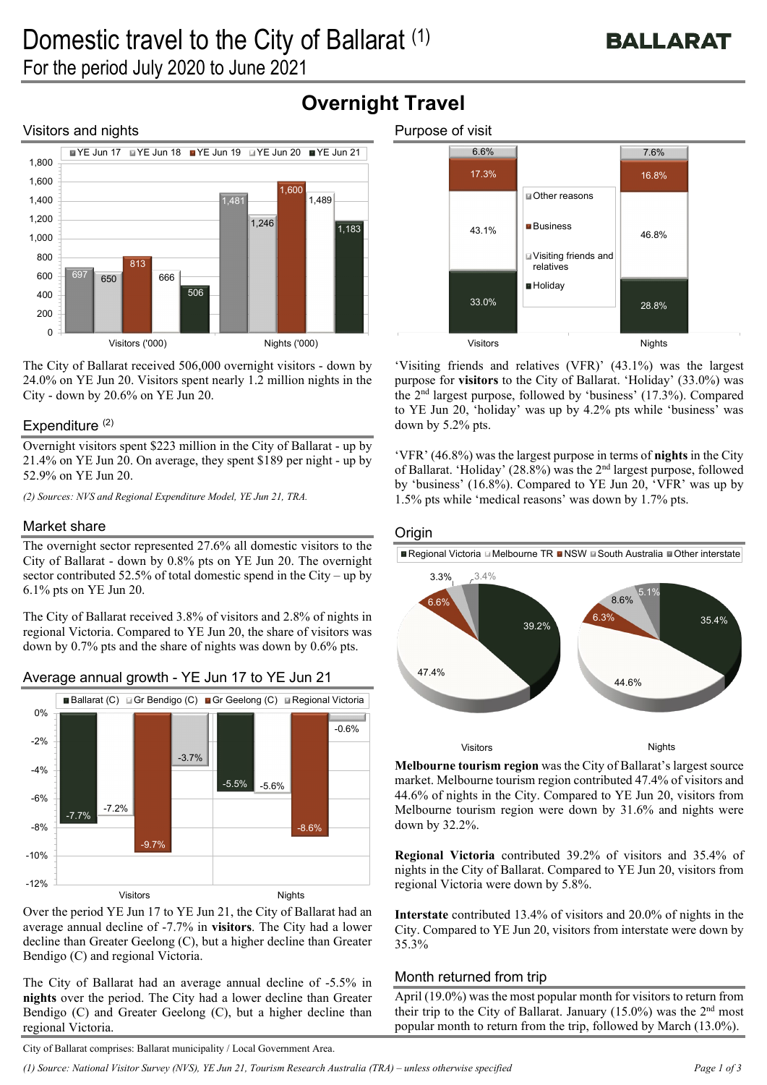## Visitors and nights



The City of Ballarat received 506,000 overnight visitors - down by 24.0% on YE Jun 20. Visitors spent nearly 1.2 million nights in the City - down by 20.6% on YE Jun 20.

## Expenditure  $(2)$

Overnight visitors spent \$223 million in the City of Ballarat - up by 21.4% on YE Jun 20. On average, they spent \$189 per night - up by 52.9% on YE Jun 20.

*(2) Sources: NVS and Regional Expenditure Model, YE Jun 21, TRA.* 

## Market share

The overnight sector represented 27.6% all domestic visitors to the City of Ballarat - down by 0.8% pts on YE Jun 20. The overnight sector contributed 52.5% of total domestic spend in the City – up by 6.1% pts on YE Jun 20.

The City of Ballarat received 3.8% of visitors and 2.8% of nights in regional Victoria. Compared to YE Jun 20, the share of visitors was down by 0.7% pts and the share of nights was down by 0.6% pts.



## Average annual growth - YE Jun 17 to YE Jun 21

Over the period YE Jun 17 to YE Jun 21, the City of Ballarat had an average annual decline of -7.7% in **visitors**. The City had a lower decline than Greater Geelong (C), but a higher decline than Greater Bendigo (C) and regional Victoria.

The City of Ballarat had an average annual decline of -5.5% in **nights** over the period. The City had a lower decline than Greater Bendigo (C) and Greater Geelong (C), but a higher decline than regional Victoria.



'Visiting friends and relatives (VFR)' (43.1%) was the largest purpose for **visitors** to the City of Ballarat. 'Holiday' (33.0%) was the 2nd largest purpose, followed by 'business' (17.3%). Compared to YE Jun 20, 'holiday' was up by 4.2% pts while 'business' was down by 5.2% pts.

'VFR' (46.8%) was the largest purpose in terms of **nights** in the City of Ballarat. 'Holiday' (28.8%) was the 2nd largest purpose, followed by 'business' (16.8%). Compared to YE Jun 20, 'VFR' was up by 1.5% pts while 'medical reasons' was down by 1.7% pts.

## **Origin**

**Overnight Travel**

■ Regional Victoria Melbourne TR ■ NSW ■ South Australia ■ Other interstate



**Melbourne tourism region** was the City of Ballarat's largest source market. Melbourne tourism region contributed 47.4% of visitors and 44.6% of nights in the City. Compared to YE Jun 20, visitors from Melbourne tourism region were down by 31.6% and nights were down by 32.2%.

**Regional Victoria** contributed 39.2% of visitors and 35.4% of nights in the City of Ballarat. Compared to YE Jun 20, visitors from regional Victoria were down by 5.8%.

**Interstate** contributed 13.4% of visitors and 20.0% of nights in the City. Compared to YE Jun 20, visitors from interstate were down by 35.3%

## Month returned from trip

April (19.0%) was the most popular month for visitors to return from their trip to the City of Ballarat. January  $(15.0\%)$  was the  $2<sup>nd</sup>$  most popular month to return from the trip, followed by March (13.0%).

City of Ballarat comprises: Ballarat municipality / Local Government Area.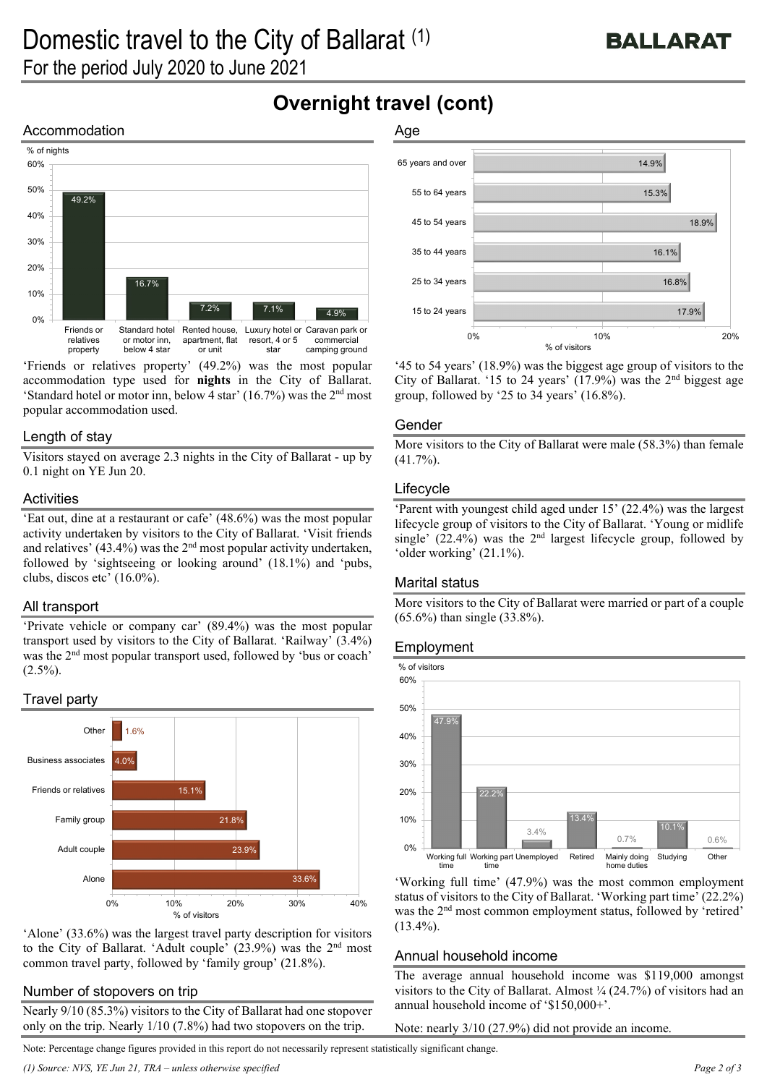15.3%

14.9%

# **Overnight travel (cont)**

Age

## Accommodation



'Friends or relatives property' (49.2%) was the most popular accommodation type used for **nights** in the City of Ballarat. 'Standard hotel or motor inn, below 4 star' (16.7%) was the  $2<sup>nd</sup>$  most popular accommodation used.

#### Length of stay

Visitors stayed on average 2.3 nights in the City of Ballarat - up by 0.1 night on YE Jun 20.

#### **Activities**

'Eat out, dine at a restaurant or cafe' (48.6%) was the most popular activity undertaken by visitors to the City of Ballarat. 'Visit friends and relatives'  $(43.4\%)$  was the  $2<sup>nd</sup>$  most popular activity undertaken, followed by 'sightseeing or looking around' (18.1%) and 'pubs, clubs, discos etc' (16.0%).

## All transport

'Private vehicle or company car' (89.4%) was the most popular transport used by visitors to the City of Ballarat. 'Railway' (3.4%) was the 2nd most popular transport used, followed by 'bus or coach'  $(2.5\%)$ .

## Travel party



'Alone' (33.6%) was the largest travel party description for visitors to the City of Ballarat. 'Adult couple' (23.9%) was the 2nd most common travel party, followed by 'family group' (21.8%).

#### Number of stopovers on trip

Nearly 9/10 (85.3%) visitors to the City of Ballarat had one stopover only on the trip. Nearly 1/10 (7.8%) had two stopovers on the trip.

55 to 64 years 65 years and over



'45 to 54 years' (18.9%) was the biggest age group of visitors to the City of Ballarat. '15 to 24 years'  $(17.9%)$  was the 2<sup>nd</sup> biggest age group, followed by '25 to 34 years' (16.8%).

#### Gender

More visitors to the City of Ballarat were male (58.3%) than female  $(41.7\%)$ .

#### Lifecycle

'Parent with youngest child aged under 15' (22.4%) was the largest lifecycle group of visitors to the City of Ballarat. 'Young or midlife single' (22.4%) was the 2<sup>nd</sup> largest lifecycle group, followed by 'older working' (21.1%).

#### Marital status

More visitors to the City of Ballarat were married or part of a couple (65.6%) than single (33.8%).

#### Employment



'Working full time' (47.9%) was the most common employment status of visitors to the City of Ballarat. 'Working part time' (22.2%) was the 2<sup>nd</sup> most common employment status, followed by 'retired'  $(13.4\%)$ .

#### Annual household income

The average annual household income was \$119,000 amongst visitors to the City of Ballarat. Almost  $\frac{1}{4}$  (24.7%) of visitors had an annual household income of '\$150,000+'.

Note: nearly 3/10 (27.9%) did not provide an income.

Note: Percentage change figures provided in this report do not necessarily represent statistically significant change.